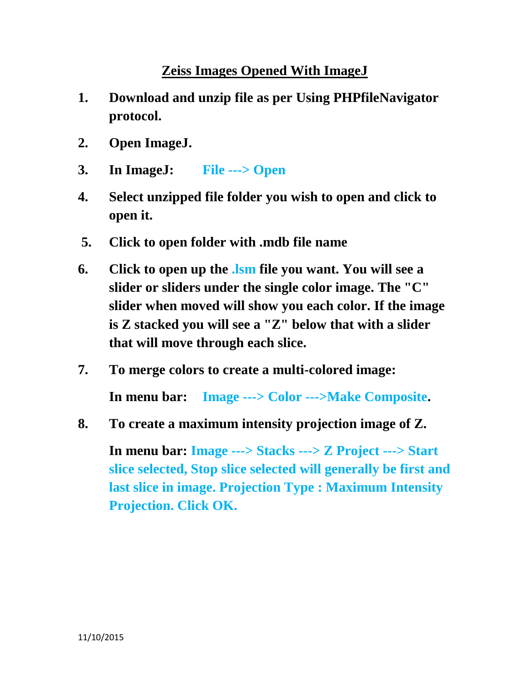## **Zeiss Images Opened With ImageJ**

- **1. Download and unzip file as per Using PHPfileNavigator protocol.**
- **2. Open ImageJ.**
- **3. In ImageJ: File ---> Open**
- **4. Select unzipped file folder you wish to open and click to open it.**
- **5. Click to open folder with .mdb file name**
- **6. Click to open up the .lsm file you want. You will see a slider or sliders under the single color image. The "C" slider when moved will show you each color. If the image is Z stacked you will see a "Z" below that with a slider that will move through each slice.**
- **7. To merge colors to create a multi-colored image:**

**In menu bar: Image ---> Color --->Make Composite.**

**8. To create a maximum intensity projection image of Z.**

**In menu bar: Image ---> Stacks ---> Z Project ---> Start slice selected, Stop slice selected will generally be first and last slice in image. Projection Type : Maximum Intensity Projection. Click OK.**